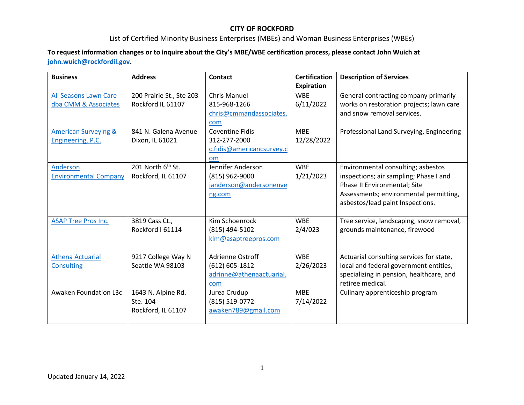#### List of Certified Minority Business Enterprises (MBEs) and Woman Business Enterprises (WBEs)

#### **To request information changes or to inquire about the City's MBE/WBE certification process, please contact John Wuich at [john.wuich@rockfordil.gov.](mailto:john.wuich@rockfordil.gov)**

| <b>Business</b>                 | <b>Address</b>                | <b>Contact</b>            | <b>Certification</b> | <b>Description of Services</b>           |
|---------------------------------|-------------------------------|---------------------------|----------------------|------------------------------------------|
|                                 |                               |                           | <b>Expiration</b>    |                                          |
| All Seasons Lawn Care           | 200 Prairie St., Ste 203      | <b>Chris Manuel</b>       | <b>WBE</b>           | General contracting company primarily    |
| dba CMM & Associates            | Rockford IL 61107             | 815-968-1266              | 6/11/2022            | works on restoration projects; lawn care |
|                                 |                               | chris@cmmandassociates.   |                      | and snow removal services.               |
|                                 |                               | com                       |                      |                                          |
| <b>American Surveying &amp;</b> | 841 N. Galena Avenue          | <b>Coventine Fidis</b>    | <b>MBE</b>           | Professional Land Surveying, Engineering |
| <b>Engineering, P.C.</b>        | Dixon, IL 61021               | 312-277-2000              | 12/28/2022           |                                          |
|                                 |                               | c.fidis@americancsurvey.c |                      |                                          |
|                                 |                               | om                        |                      |                                          |
| Anderson                        | 201 North 6 <sup>th</sup> St. | Jennifer Anderson         | <b>WBE</b>           | Environmental consulting; asbestos       |
| <b>Environmental Company</b>    | Rockford, IL 61107            | (815) 962-9000            | 1/21/2023            | inspections; air sampling; Phase I and   |
|                                 |                               | janderson@andersonenve    |                      | Phase II Environmental; Site             |
|                                 |                               | ng.com                    |                      | Assessments; environmental permitting,   |
|                                 |                               |                           |                      | asbestos/lead paint Inspections.         |
|                                 |                               |                           |                      |                                          |
| <b>ASAP Tree Pros Inc.</b>      | 3819 Cass Ct.,                | Kim Schoenrock            | <b>WBE</b>           | Tree service, landscaping, snow removal, |
|                                 | Rockford I 61114              | (815) 494-5102            | 2/4/023              | grounds maintenance, firewood            |
|                                 |                               | kim@asaptreepros.com      |                      |                                          |
|                                 |                               |                           |                      |                                          |
| <b>Athena Actuarial</b>         | 9217 College Way N            | Adrienne Ostroff          | <b>WBE</b>           | Actuarial consulting services for state, |
| Consulting                      | Seattle WA 98103              | $(612) 605 - 1812$        | 2/26/2023            | local and federal government entities,   |
|                                 |                               | adrinne@athenaactuarial.  |                      | specializing in pension, healthcare, and |
|                                 |                               | com                       |                      | retiree medical.                         |
| Awaken Foundation L3c           | 1643 N. Alpine Rd.            | Jurea Crudup              | <b>MBE</b>           | Culinary apprenticeship program          |
|                                 | Ste. 104                      | (815) 519-0772            | 7/14/2022            |                                          |
|                                 | Rockford, IL 61107            | awaken789@gmail.com       |                      |                                          |
|                                 |                               |                           |                      |                                          |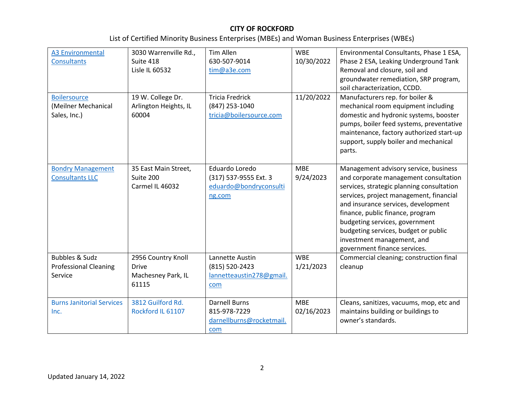| <b>A3 Environmental</b><br><b>Consultants</b><br><b>Boilersource</b><br>(Meilner Mechanical<br>Sales, Inc.) | 3030 Warrenville Rd.,<br>Suite 418<br>Lisle IL 60532<br>19 W. College Dr.<br>Arlington Heights, IL<br>60004 | Tim Allen<br>630-507-9014<br>tim@a3e.com<br><b>Tricia Fredrick</b><br>(847) 253-1040<br>tricia@boilersource.com | <b>WBE</b><br>10/30/2022<br>11/20/2022 | Environmental Consultants, Phase 1 ESA,<br>Phase 2 ESA, Leaking Underground Tank<br>Removal and closure, soil and<br>groundwater remediation, SRP program,<br>soil characterization, CCDD.<br>Manufacturers rep. for boiler &<br>mechanical room equipment including<br>domestic and hydronic systems, booster<br>pumps, boiler feed systems, preventative<br>maintenance, factory authorized start-up |
|-------------------------------------------------------------------------------------------------------------|-------------------------------------------------------------------------------------------------------------|-----------------------------------------------------------------------------------------------------------------|----------------------------------------|--------------------------------------------------------------------------------------------------------------------------------------------------------------------------------------------------------------------------------------------------------------------------------------------------------------------------------------------------------------------------------------------------------|
|                                                                                                             |                                                                                                             |                                                                                                                 |                                        | support, supply boiler and mechanical<br>parts.                                                                                                                                                                                                                                                                                                                                                        |
| <b>Bondry Management</b><br><b>Consultants LLC</b>                                                          | 35 East Main Street,<br>Suite 200<br>Carmel IL 46032                                                        | Eduardo Loredo<br>(317) 537-9555 Ext. 3<br>eduardo@bondryconsulti<br>ng.com                                     | <b>MBE</b><br>9/24/2023                | Management advisory service, business<br>and corporate management consultation<br>services, strategic planning consultation<br>services, project management, financial<br>and insurance services, development<br>finance, public finance, program<br>budgeting services, government<br>budgeting services, budget or public<br>investment management, and<br>government finance services.              |
| <b>Bubbles &amp; Sudz</b><br><b>Professional Cleaning</b><br>Service                                        | 2956 Country Knoll<br><b>Drive</b><br>Machesney Park, IL<br>61115                                           | Lannette Austin<br>(815) 520-2423<br>lannetteaustin278@gmail.<br>com                                            | <b>WBE</b><br>1/21/2023                | Commercial cleaning; construction final<br>cleanup                                                                                                                                                                                                                                                                                                                                                     |
| <b>Burns Janitorial Services</b><br>Inc.                                                                    | 3812 Guilford Rd.<br>Rockford IL 61107                                                                      | <b>Darnell Burns</b><br>815-978-7229<br>darnellburns@rocketmail.<br>com                                         | <b>MBE</b><br>02/16/2023               | Cleans, sanitizes, vacuums, mop, etc and<br>maintains building or buildings to<br>owner's standards.                                                                                                                                                                                                                                                                                                   |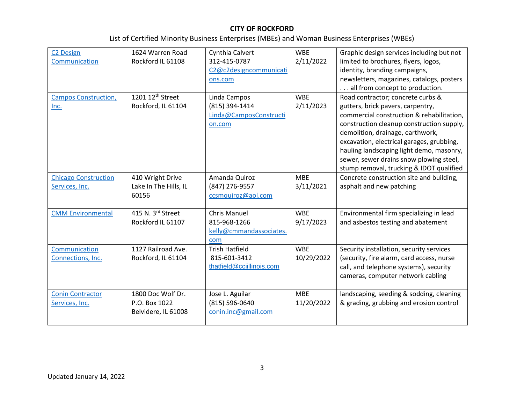| <b>C2 Design</b>            | 1624 Warren Road             | Cynthia Calvert                                  | <b>WBF</b> | Graphic design services including but not |
|-----------------------------|------------------------------|--------------------------------------------------|------------|-------------------------------------------|
| Communication               | Rockford IL 61108            | 312-415-0787                                     | 2/11/2022  | limited to brochures, flyers, logos,      |
|                             |                              | C <sub>2</sub> @c <sub>2</sub> designcommunicati |            | identity, branding campaigns,             |
|                             |                              | ons.com                                          |            | newsletters, magazines, catalogs, posters |
|                             |                              |                                                  |            | all from concept to production.           |
| <b>Campos Construction,</b> | 1201 12 <sup>th</sup> Street | Linda Campos                                     | <b>WBE</b> | Road contractor; concrete curbs &         |
| Inc.                        | Rockford, IL 61104           | (815) 394-1414                                   | 2/11/2023  | gutters, brick pavers, carpentry,         |
|                             |                              | Linda@CamposConstructi                           |            | commercial construction & rehabilitation, |
|                             |                              | on.com                                           |            | construction cleanup construction supply, |
|                             |                              |                                                  |            | demolition, drainage, earthwork,          |
|                             |                              |                                                  |            | excavation, electrical garages, grubbing, |
|                             |                              |                                                  |            | hauling landscaping light demo, masonry,  |
|                             |                              |                                                  |            | sewer, sewer drains snow plowing steel,   |
|                             |                              |                                                  |            | stump removal, trucking & IDOT qualified  |
| <b>Chicago Construction</b> | 410 Wright Drive             | Amanda Quiroz                                    | <b>MBE</b> | Concrete construction site and building,  |
| Services, Inc.              | Lake In The Hills, IL        | (847) 276-9557                                   | 3/11/2021  | asphalt and new patching                  |
|                             | 60156                        | ccsmquiroz@aol.com                               |            |                                           |
|                             |                              |                                                  |            |                                           |
| <b>CMM Environmental</b>    | 415 N. 3rd Street            | <b>Chris Manuel</b>                              | <b>WBE</b> | Environmental firm specializing in lead   |
|                             | Rockford IL 61107            | 815-968-1266                                     | 9/17/2023  | and asbestos testing and abatement        |
|                             |                              | kelly@cmmandassociates.                          |            |                                           |
|                             |                              | com                                              |            |                                           |
| Communication               | 1127 Railroad Ave.           | <b>Trish Hatfield</b>                            | <b>WBE</b> | Security installation, security services  |
| Connections, Inc.           | Rockford, IL 61104           | 815-601-3412                                     | 10/29/2022 | (security, fire alarm, card access, nurse |
|                             |                              | thatfield@cciillinois.com                        |            | call, and telephone systems), security    |
|                             |                              |                                                  |            | cameras, computer network cabling         |
|                             |                              |                                                  |            |                                           |
| <b>Conin Contractor</b>     | 1800 Doc Wolf Dr.            | Jose L. Aguilar                                  | <b>MBE</b> | landscaping, seeding & sodding, cleaning  |
| Services, Inc.              | P.O. Box 1022                | (815) 596-0640                                   | 11/20/2022 | & grading, grubbing and erosion control   |
|                             | Belvidere, IL 61008          | conin.inc@gmail.com                              |            |                                           |
|                             |                              |                                                  |            |                                           |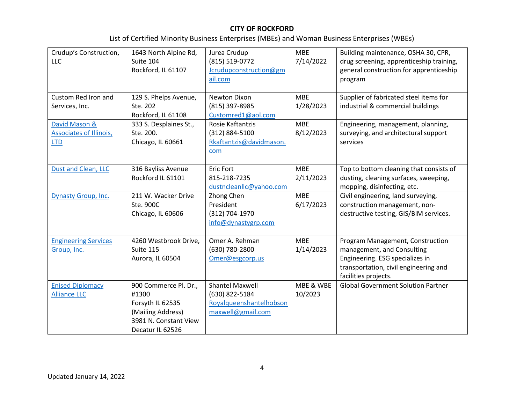| Crudup's Construction,<br><b>LLC</b>                          | 1643 North Alpine Rd,<br>Suite 104<br>Rockford, IL 61107                                                             | Jurea Crudup<br>(815) 519-0772<br>Jcrudupconstruction@gm<br>ail.com                      | <b>MBE</b><br>7/14/2022               | Building maintenance, OSHA 30, CPR,<br>drug screening, apprenticeship training,<br>general construction for apprenticeship<br>program                              |
|---------------------------------------------------------------|----------------------------------------------------------------------------------------------------------------------|------------------------------------------------------------------------------------------|---------------------------------------|--------------------------------------------------------------------------------------------------------------------------------------------------------------------|
| Custom Red Iron and<br>Services, Inc.                         | 129 S. Phelps Avenue,<br>Ste. 202<br>Rockford, IL 61108                                                              | Newton Dixon<br>(815) 397-8985<br>Customred1@aol.com                                     | <b>MBE</b><br>1/28/2023<br><b>MBE</b> | Supplier of fabricated steel items for<br>industrial & commercial buildings                                                                                        |
| David Mason &<br><b>Associates of Illinois,</b><br><b>LTD</b> | 333 S. Desplaines St.,<br>Ste. 200.<br>Chicago, IL 60661                                                             | Rosie Kaftantzis<br>(312) 884-5100<br>Rkaftantzis@davidmason.<br>com                     | 8/12/2023                             | Engineering, management, planning,<br>surveying, and architectural support<br>services                                                                             |
| Dust and Clean, LLC                                           | 316 Bayliss Avenue<br>Rockford IL 61101                                                                              | <b>Eric Fort</b><br>815-218-7235<br>dustncleanllc@yahoo.com                              | <b>MBE</b><br>2/11/2023               | Top to bottom cleaning that consists of<br>dusting, cleaning surfaces, sweeping,<br>mopping, disinfecting, etc.                                                    |
| Dynasty Group, Inc.                                           | 211 W. Wacker Drive<br>Ste. 900C<br>Chicago, IL 60606                                                                | Zhong Chen<br>President<br>(312) 704-1970<br>info@dynastygrp.com                         | <b>MBE</b><br>6/17/2023               | Civil engineering, land surveying,<br>construction management, non-<br>destructive testing, GIS/BIM services.                                                      |
| <b>Engineering Services</b><br>Group, Inc.                    | 4260 Westbrook Drive,<br>Suite 115<br>Aurora, IL 60504                                                               | Omer A. Rehman<br>(630) 780-2800<br>Omer@esgcorp.us                                      | <b>MBE</b><br>1/14/2023               | Program Management, Construction<br>management, and Consulting<br>Engineering. ESG specializes in<br>transportation, civil engineering and<br>facilities projects. |
| <b>Enised Diplomacy</b><br><b>Alliance LLC</b>                | 900 Commerce Pl. Dr.,<br>#1300<br>Forsyth IL 62535<br>(Mailing Address)<br>3981 N. Constant View<br>Decatur IL 62526 | <b>Shantel Maxwell</b><br>(630) 822-5184<br>Royalqueenshantelhobson<br>maxwell@gmail.com | MBE & WBE<br>10/2023                  | <b>Global Government Solution Partner</b>                                                                                                                          |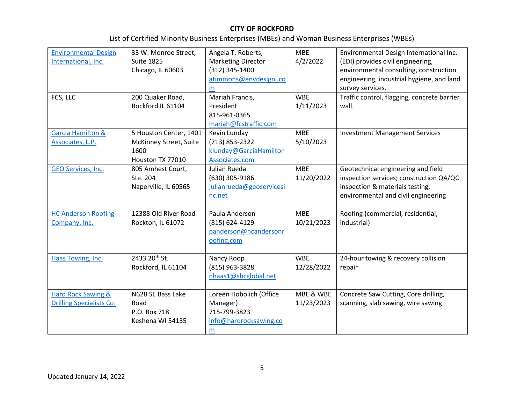| <b>Environmental Design</b><br>International, Inc.<br>FCS, LLC | 33 W. Monroe Street,<br><b>Suite 1825</b><br>Chicago, IL 60603<br>200 Quaker Road,<br>Rockford IL 61104 | Angela T. Roberts,<br><b>Marketing Director</b><br>(312) 345-1400<br>atimmons@envdesigni.co<br>m<br>Mariah Francis,<br>President<br>815-961-0365<br>mariah@fcstraffic.com | <b>MBE</b><br>4/2/2022<br><b>WBE</b><br>1/11/2023 | Environmental Design International Inc.<br>(EDI) provides civil engineering,<br>environmental consulting, construction<br>engineering, industrial hygiene, and land<br>survey services.<br>Traffic control, flagging, concrete barrier<br>wall. |
|----------------------------------------------------------------|---------------------------------------------------------------------------------------------------------|---------------------------------------------------------------------------------------------------------------------------------------------------------------------------|---------------------------------------------------|-------------------------------------------------------------------------------------------------------------------------------------------------------------------------------------------------------------------------------------------------|
| <b>Garcia Hamilton &amp;</b><br>Associates, L.P.               | 5 Houston Center, 1401<br>McKinney Street, Suite<br>1600<br>Houston TX 77010                            | Kevin Lunday<br>(713) 853-2322<br>klunday@GarciaHamilton<br>Associates.com                                                                                                | <b>MBE</b><br>5/10/2023                           | <b>Investment Management Services</b>                                                                                                                                                                                                           |
| <b>GEO Services, Inc.</b>                                      | 805 Amhest Court,<br>Ste. 204<br>Naperville, IL 60565                                                   | Julian Rueda<br>(630) 305-9186<br>julianrueda@geoservicesi<br>nc.net                                                                                                      | <b>MBE</b><br>11/20/2022                          | Geotechnical engineering and field<br>inspection services; construction QA/QC<br>inspection & materials testing,<br>environmental and civil engineering                                                                                         |
| <b>HC Anderson Roofing</b><br>Company, Inc.                    | 12388 Old River Road<br>Rockton, IL 61072                                                               | Paula Anderson<br>(815) 624-4129<br>panderson@hcandersonr<br>oofing.com                                                                                                   | <b>MBE</b><br>10/21/2023                          | Roofing (commercial, residential,<br>industrial)                                                                                                                                                                                                |
| Haas Towing, Inc.                                              | 2433 20 <sup>th</sup> St.<br>Rockford, IL 61104                                                         | Nancy Roop<br>(815) 963-3828<br>nhaas1@sbcglobal.net                                                                                                                      | <b>WBE</b><br>12/28/2022                          | 24-hour towing & recovery collision<br>repair                                                                                                                                                                                                   |
| Hard Rock Sawing &<br><b>Drilling Specialists Co.</b>          | N628 SE Bass Lake<br>Road<br>P.O. Box 718<br>Keshena WI 54135                                           | Loreen Hobolich (Office<br>Manager)<br>715-799-3823<br>info@hardrocksawing.co<br>m                                                                                        | MBE & WBE<br>11/23/2023                           | Concrete Saw Cutting, Core drilling,<br>scanning, slab sawing, wire sawing                                                                                                                                                                      |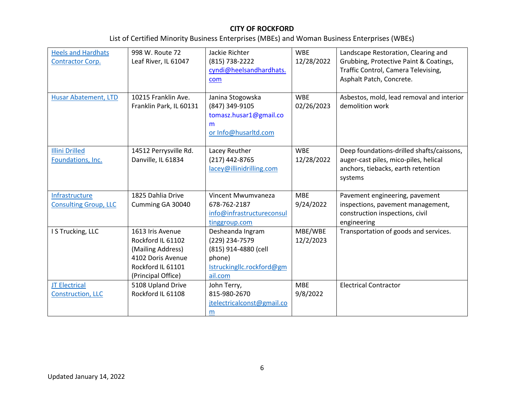| <b>Heels and Hardhats</b><br>Contractor Corp.    | 998 W. Route 72<br>Leaf River, IL 61047<br>10215 Franklin Ave.                                                             | Jackie Richter<br>(815) 738-2222<br>cyndi@heelsandhardhats.<br>com                                           | <b>WBE</b><br>12/28/2022<br><b>WBE</b> | Landscape Restoration, Clearing and<br>Grubbing, Protective Paint & Coatings,<br>Traffic Control, Camera Televising,<br>Asphalt Patch, Concrete. |
|--------------------------------------------------|----------------------------------------------------------------------------------------------------------------------------|--------------------------------------------------------------------------------------------------------------|----------------------------------------|--------------------------------------------------------------------------------------------------------------------------------------------------|
| <b>Husar Abatement, LTD</b>                      | Franklin Park, IL 60131                                                                                                    | Janina Stogowska<br>(847) 349-9105<br>tomasz.husar1@gmail.co<br>m<br>or Info@husarltd.com                    | 02/26/2023                             | Asbestos, mold, lead removal and interior<br>demolition work                                                                                     |
| <b>Illini Drilled</b><br>Foundations, Inc.       | 14512 Perrysville Rd.<br>Danville, IL 61834                                                                                | Lacey Reuther<br>(217) 442-8765<br>lacey@illinidrilling.com                                                  | <b>WBE</b><br>12/28/2022               | Deep foundations-drilled shafts/caissons,<br>auger-cast piles, mico-piles, helical<br>anchors, tiebacks, earth retention<br>systems              |
| Infrastructure<br><b>Consulting Group, LLC</b>   | 1825 Dahlia Drive<br>Cumming GA 30040                                                                                      | Vincent Mwumvaneza<br>678-762-2187<br>info@infrastructureconsul<br>tinggroup.com                             | <b>MBE</b><br>9/24/2022                | Pavement engineering, pavement<br>inspections, pavement management,<br>construction inspections, civil<br>engineering                            |
| I S Trucking, LLC                                | 1613 Iris Avenue<br>Rockford IL 61102<br>(Mailing Address)<br>4102 Doris Avenue<br>Rockford IL 61101<br>(Principal Office) | Desheanda Ingram<br>(229) 234-7579<br>(815) 914-4880 (cell<br>phone)<br>Istruckingllc.rockford@gm<br>ail.com | MBE/WBE<br>12/2/2023                   | Transportation of goods and services.                                                                                                            |
| <b>JT Electrical</b><br><b>Construction, LLC</b> | 5108 Upland Drive<br>Rockford IL 61108                                                                                     | John Terry,<br>815-980-2670<br>jtelectricalconst@gmail.co<br>m                                               | <b>MBE</b><br>9/8/2022                 | <b>Electrical Contractor</b>                                                                                                                     |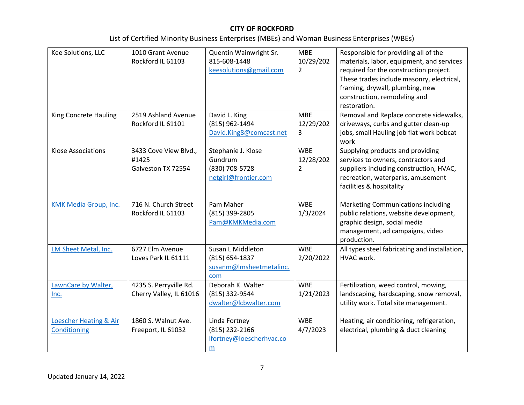| Kee Solutions, LLC                     | 1010 Grant Avenue<br>Rockford IL 61103               | Quentin Wainwright Sr.<br>815-608-1448<br>keesolutions@gmail.com        | <b>MBE</b><br>10/29/202<br>$\overline{2}$ | Responsible for providing all of the<br>materials, labor, equipment, and services<br>required for the construction project.<br>These trades include masonry, electrical,<br>framing, drywall, plumbing, new<br>construction, remodeling and<br>restoration. |
|----------------------------------------|------------------------------------------------------|-------------------------------------------------------------------------|-------------------------------------------|-------------------------------------------------------------------------------------------------------------------------------------------------------------------------------------------------------------------------------------------------------------|
| King Concrete Hauling                  | 2519 Ashland Avenue<br>Rockford IL 61101             | David L. King<br>(815) 962-1494<br>David.King8@comcast.net              | <b>MBE</b><br>12/29/202<br>3              | Removal and Replace concrete sidewalks,<br>driveways, curbs and gutter clean-up<br>jobs, small Hauling job flat work bobcat<br>work                                                                                                                         |
| <b>Klose Associations</b>              | 3433 Cove View Blvd.,<br>#1425<br>Galveston TX 72554 | Stephanie J. Klose<br>Gundrum<br>(830) 708-5728<br>netgirl@frontier.com | <b>WBE</b><br>12/28/202<br>$\overline{2}$ | Supplying products and providing<br>services to owners, contractors and<br>suppliers including construction, HVAC,<br>recreation, waterparks, amusement<br>facilities & hospitality                                                                         |
| KMK Media Group, Inc.                  | 716 N. Church Street<br>Rockford IL 61103            | Pam Maher<br>(815) 399-2805<br>Pam@KMKMedia.com                         | <b>WBE</b><br>1/3/2024                    | Marketing Communications including<br>public relations, website development,<br>graphic design, social media<br>management, ad campaigns, video<br>production.                                                                                              |
| LM Sheet Metal, Inc.                   | 6727 Elm Avenue<br>Loves Park IL 61111               | Susan L Middleton<br>(815) 654-1837<br>susanm@lmsheetmetalinc.<br>com   | <b>WBE</b><br>2/20/2022                   | All types steel fabricating and installation,<br>HVAC work.                                                                                                                                                                                                 |
| LawnCare by Walter,<br>Inc.            | 4235 S. Perryville Rd.<br>Cherry Valley, IL 61016    | Deborah K. Walter<br>(815) 332-9544<br>dwalter@lcbwalter.com            | <b>WBE</b><br>1/21/2023                   | Fertilization, weed control, mowing,<br>landscaping, hardscaping, snow removal,<br>utility work. Total site management.                                                                                                                                     |
| Loescher Heating & Air<br>Conditioning | 1860 S. Walnut Ave.<br>Freeport, IL 61032            | Linda Fortney<br>(815) 232-2166<br>lfortney@loescherhvac.co<br>m        | <b>WBE</b><br>4/7/2023                    | Heating, air conditioning, refrigeration,<br>electrical, plumbing & duct cleaning                                                                                                                                                                           |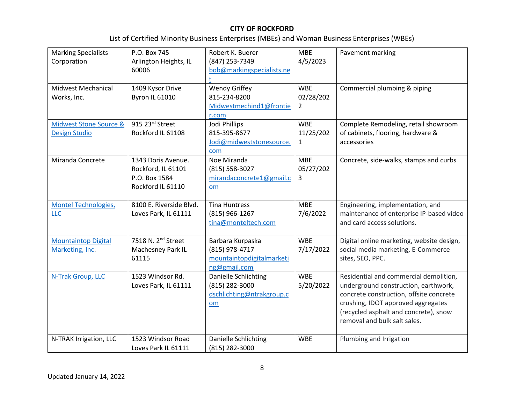| <b>Marking Specialists</b><br>Corporation      | P.O. Box 745<br>Arlington Heights, IL                                          | Robert K. Buerer<br>(847) 253-7349                                              | <b>MBE</b><br>4/5/2023                    | Pavement marking                                                                                                                                                                                                                         |
|------------------------------------------------|--------------------------------------------------------------------------------|---------------------------------------------------------------------------------|-------------------------------------------|------------------------------------------------------------------------------------------------------------------------------------------------------------------------------------------------------------------------------------------|
|                                                | 60006                                                                          | bob@markingspecialists.ne                                                       |                                           |                                                                                                                                                                                                                                          |
| <b>Midwest Mechanical</b><br>Works, Inc.       | 1409 Kysor Drive<br><b>Byron IL 61010</b>                                      | <b>Wendy Griffey</b><br>815-234-8200<br>Midwestmechind1@frontie<br>r.com        | <b>WBE</b><br>02/28/202<br>$\overline{2}$ | Commercial plumbing & piping                                                                                                                                                                                                             |
| Midwest Stone Source &<br><b>Design Studio</b> | 915 23rd Street<br>Rockford IL 61108                                           | Jodi Phillips<br>815-395-8677<br>Jodi@midweststonesource.<br>com                | <b>WBE</b><br>11/25/202<br>$\mathbf{1}$   | Complete Remodeling, retail showroom<br>of cabinets, flooring, hardware &<br>accessories                                                                                                                                                 |
| Miranda Concrete                               | 1343 Doris Avenue.<br>Rockford, IL 61101<br>P.O. Box 1584<br>Rockford IL 61110 | Noe Miranda<br>(815) 558-3027<br>mirandaconcrete1@gmail.c<br>om                 | <b>MBE</b><br>05/27/202<br>3              | Concrete, side-walks, stamps and curbs                                                                                                                                                                                                   |
| Montel Technologies,<br><b>LLC</b>             | 8100 E. Riverside Blvd.<br>Loves Park, IL 61111                                | <b>Tina Huntress</b><br>(815) 966-1267<br>tina@monteltech.com                   | <b>MBE</b><br>7/6/2022                    | Engineering, implementation, and<br>maintenance of enterprise IP-based video<br>and card access solutions.                                                                                                                               |
| <b>Mountaintop Digital</b><br>Marketing, Inc.  | 7518 N. 2 <sup>nd</sup> Street<br>Machesney Park IL<br>61115                   | Barbara Kurpaska<br>(815) 978-4717<br>mountaintopdigitalmarketi<br>ng@gmail.com | <b>WBE</b><br>7/17/2022                   | Digital online marketing, website design,<br>social media marketing, E-Commerce<br>sites, SEO, PPC.                                                                                                                                      |
| N-Trak Group, LLC                              | 1523 Windsor Rd.<br>Loves Park, IL 61111                                       | Danielle Schlichting<br>(815) 282-3000<br>dschlichting@ntrakgroup.c<br>om       | <b>WBE</b><br>5/20/2022                   | Residential and commercial demolition,<br>underground construction, earthwork,<br>concrete construction, offsite concrete<br>crushing, IDOT approved aggregates<br>(recycled asphalt and concrete), snow<br>removal and bulk salt sales. |
| N-TRAK Irrigation, LLC                         | 1523 Windsor Road<br>Loves Park IL 61111                                       | Danielle Schlichting<br>(815) 282-3000                                          | <b>WBE</b>                                | Plumbing and Irrigation                                                                                                                                                                                                                  |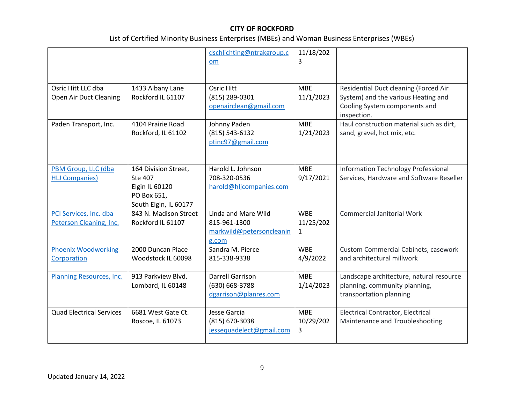|                                                   |                                                                                           | dschlichting@ntrakgroup.c<br>om                                          | 11/18/202<br>3               |                                                                                                                              |
|---------------------------------------------------|-------------------------------------------------------------------------------------------|--------------------------------------------------------------------------|------------------------------|------------------------------------------------------------------------------------------------------------------------------|
|                                                   |                                                                                           |                                                                          |                              |                                                                                                                              |
| Osric Hitt LLC dba<br>Open Air Duct Cleaning      | 1433 Albany Lane<br>Rockford IL 61107                                                     | <b>Osric Hitt</b><br>(815) 289-0301<br>openairclean@gmail.com            | <b>MBE</b><br>11/1/2023      | Residential Duct cleaning (Forced Air<br>System) and the various Heating and<br>Cooling System components and<br>inspection. |
| Paden Transport, Inc.                             | 4104 Prairie Road<br>Rockford, IL 61102                                                   | Johnny Paden<br>$(815) 543 - 6132$<br>ptinc97@gmail.com                  | <b>MBE</b><br>1/21/2023      | Haul construction material such as dirt,<br>sand, gravel, hot mix, etc.                                                      |
| PBM Group, LLC (dba<br><b>HLJ Companies)</b>      | 164 Division Street,<br>Ste 407<br>Elgin IL 60120<br>PO Box 651,<br>South Elgin, IL 60177 | Harold L. Johnson<br>708-320-0536<br>harold@hljcompanies.com             | <b>MBE</b><br>9/17/2021      | <b>Information Technology Professional</b><br>Services, Hardware and Software Reseller                                       |
| PCI Services, Inc. dba<br>Peterson Cleaning, Inc. | 843 N. Madison Street<br>Rockford IL 61107                                                | Linda and Mare Wild<br>815-961-1300<br>markwild@petersoncleanin<br>g.com | <b>WBE</b><br>11/25/202<br>1 | <b>Commercial Janitorial Work</b>                                                                                            |
| <b>Phoenix Woodworking</b><br>Corporation         | 2000 Duncan Place<br>Woodstock IL 60098                                                   | Sandra M. Pierce<br>815-338-9338                                         | <b>WBE</b><br>4/9/2022       | <b>Custom Commercial Cabinets, casework</b><br>and architectural millwork                                                    |
| Planning Resources, Inc.                          | 913 Parkview Blvd.<br>Lombard, IL 60148                                                   | <b>Darrell Garrison</b><br>(630) 668-3788<br>dgarrison@planres.com       | <b>MBE</b><br>1/14/2023      | Landscape architecture, natural resource<br>planning, community planning,<br>transportation planning                         |
| <b>Quad Electrical Services</b>                   | 6681 West Gate Ct.<br>Roscoe, IL 61073                                                    | Jesse Garcia<br>$(815)$ 670-3038<br>jessequadelect@gmail.com             | <b>MBE</b><br>10/29/202<br>3 | <b>Electrical Contractor, Electrical</b><br>Maintenance and Troubleshooting                                                  |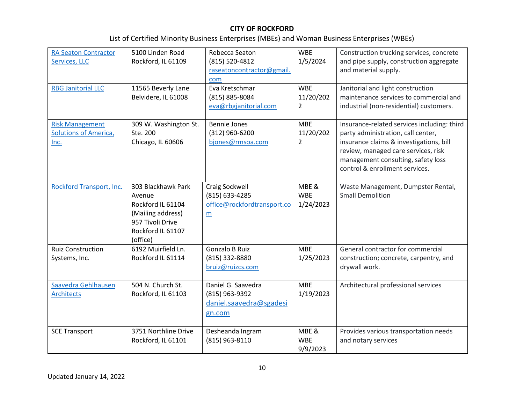| <b>RA Seaton Contractor</b><br>Services, LLC<br><b>RBG Janitorial LLC</b> | 5100 Linden Road<br>Rockford, IL 61109<br>11565 Beverly Lane<br>Belvidere, IL 61008                                         | Rebecca Seaton<br>(815) 520-4812<br>raseatoncontractor@gmail.<br>com<br>Eva Kretschmar<br>(815) 885-8084<br>eva@rbgjanitorial.com | <b>WBE</b><br>1/5/2024<br><b>WBE</b><br>11/20/202<br>$\overline{2}$ | Construction trucking services, concrete<br>and pipe supply, construction aggregate<br>and material supply.<br>Janitorial and light construction<br>maintenance services to commercial and<br>industrial (non-residential) customers.       |
|---------------------------------------------------------------------------|-----------------------------------------------------------------------------------------------------------------------------|-----------------------------------------------------------------------------------------------------------------------------------|---------------------------------------------------------------------|---------------------------------------------------------------------------------------------------------------------------------------------------------------------------------------------------------------------------------------------|
| <b>Risk Management</b><br><b>Solutions of America,</b><br>Inc.            | 309 W. Washington St.<br>Ste. 200<br>Chicago, IL 60606                                                                      | <b>Bennie Jones</b><br>$(312)$ 960-6200<br>bjones@rmsoa.com                                                                       | <b>MBE</b><br>11/20/202<br>$\overline{2}$                           | Insurance-related services including: third<br>party administration, call center,<br>insurance claims & investigations, bill<br>review, managed care services, risk<br>management consulting, safety loss<br>control & enrollment services. |
| Rockford Transport, Inc.                                                  | 303 Blackhawk Park<br>Avenue<br>Rockford IL 61104<br>(Mailing address)<br>957 Tivoli Drive<br>Rockford IL 61107<br>(office) | Craig Sockwell<br>(815) 633-4285<br>office@rockfordtransport.co<br>m                                                              | MBE &<br><b>WBE</b><br>1/24/2023                                    | Waste Management, Dumpster Rental,<br><b>Small Demolition</b>                                                                                                                                                                               |
| <b>Ruiz Construction</b><br>Systems, Inc.                                 | 6192 Muirfield Ln.<br>Rockford IL 61114                                                                                     | <b>Gonzalo B Ruiz</b><br>(815) 332-8880<br>bruiz@ruizcs.com                                                                       | <b>MBE</b><br>1/25/2023                                             | General contractor for commercial<br>construction; concrete, carpentry, and<br>drywall work.                                                                                                                                                |
| Saavedra Gehlhausen<br><b>Architects</b>                                  | 504 N. Church St.<br>Rockford, IL 61103                                                                                     | Daniel G. Saavedra<br>(815) 963-9392<br>daniel.saavedra@sgadesi<br>gn.com                                                         | <b>MBE</b><br>1/19/2023                                             | Architectural professional services                                                                                                                                                                                                         |
| <b>SCE Transport</b>                                                      | 3751 Northline Drive<br>Rockford, IL 61101                                                                                  | Desheanda Ingram<br>(815) 963-8110                                                                                                | MBE &<br><b>WBE</b><br>9/9/2023                                     | Provides various transportation needs<br>and notary services                                                                                                                                                                                |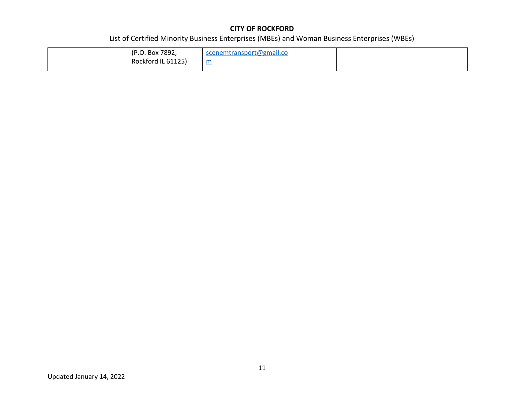| (P.O. Box 7892,    | scenemtransport@gmail.co |  |
|--------------------|--------------------------|--|
| Rockford IL 61125) | m<br>$\sim$              |  |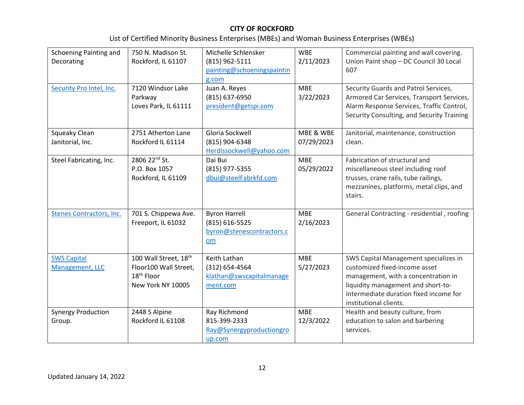|  | List of Certified Minority Business Enterprises (MBEs) and Woman Business Enterprises (WBEs) |
|--|----------------------------------------------------------------------------------------------|
|--|----------------------------------------------------------------------------------------------|

| Schoening Painting and          | 750 N. Madison St.        | Michelle Schlensker        | <b>WBE</b> | Commercial painting and wall covering.     |
|---------------------------------|---------------------------|----------------------------|------------|--------------------------------------------|
| Decorating                      | Rockford, IL 61107        | (815) 962-5111             | 2/11/2023  | Union Paint shop - DC Council 30 Local     |
|                                 |                           | painting@schoeningspaintin |            | 607                                        |
|                                 |                           | g.com                      |            |                                            |
| Security Pro Intel, Inc.        | 7120 Windsor Lake         | Juan A. Reyes              | <b>MBE</b> | Security Guards and Patrol Services,       |
|                                 | Parkway                   | (815) 637-6950             | 3/22/2023  | Armored Car Services, Transport Services,  |
|                                 | Loves Park, IL 61111      | president@getspi.com       |            | Alarm Response Services, Traffic Control,  |
|                                 |                           |                            |            | Security Consulting, and Security Training |
|                                 |                           |                            |            |                                            |
| Squeaky Clean                   | 2751 Atherton Lane        | Gloria Sockwell            | MBE & WBE  | Janitorial, maintenance, construction      |
| Janitorial, Inc.                | Rockford IL 61114         | (815) 904-6348             | 07/29/2023 | clean.                                     |
|                                 |                           | Herdissockwell@yahoo.com   |            |                                            |
| Steel Fabricating, Inc.         | 2806 22 <sup>nd</sup> St. | Dai Bui                    | <b>MBE</b> | Fabrication of structural and              |
|                                 | P.O. Box 1057             | (815) 977-5355             | 05/29/2022 | miscellaneous steel including roof         |
|                                 | Rockford, IL 61109        | dbui@steelFabrkfd.com      |            | trusses, crane rails, tube railings,       |
|                                 |                           |                            |            | mezzanines, platforms, metal clips, and    |
|                                 |                           |                            |            | stairs.                                    |
|                                 |                           |                            |            |                                            |
| <b>Stenes Contractors, Inc.</b> | 701 S. Chippewa Ave.      | <b>Byron Harrell</b>       | <b>MBE</b> | General Contracting - residential, roofing |
|                                 | Freeport, IL 61032        | (815) 616-5525             | 2/16/2023  |                                            |
|                                 |                           | byron@stenescontractors.c  |            |                                            |
|                                 |                           | om                         |            |                                            |
|                                 |                           |                            |            |                                            |
| <b>SWS Capital</b>              | 100 Wall Street, 18th     | Keith Lathan               | <b>MBE</b> | SWS Capital Management specializes in      |
| Management, LLC                 | Floor100 Wall Street,     | (312) 654-4564             | 5/27/2023  | customized fixed-income asset              |
|                                 | 18 <sup>th</sup> Floor    | klathan@swscapitalmanage   |            | management, with a concentration in        |
|                                 | New York NY 10005         | ment.com                   |            | liquidity management and short-to-         |
|                                 |                           |                            |            | intermediate duration fixed income for     |
|                                 |                           |                            |            | institutional clients.                     |
| <b>Synergy Production</b>       | 2448 S Alpine             | Ray Richmond               | <b>MBE</b> | Health and beauty culture, from            |
| Group.                          | Rockford IL 61108         | 815-399-2333               | 12/3/2022  | education to salon and barbering           |
|                                 |                           | Ray@Synergyproductiongro   |            | services.                                  |
|                                 |                           | up.com                     |            |                                            |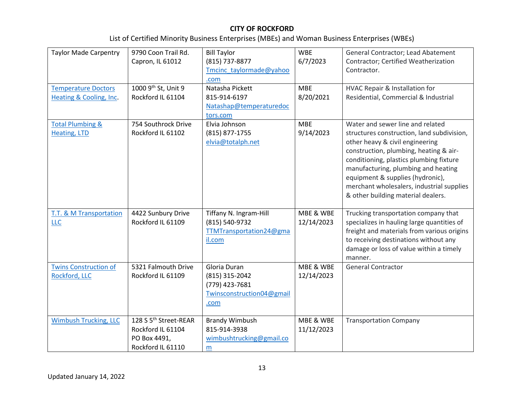| <b>Taylor Made Carpentry</b>                                     | 9790 Coon Trail Rd.<br>Capron, IL 61012                                                     | <b>Bill Taylor</b><br>(815) 737-8877                                                  | <b>WBE</b><br>6/7/2023  | General Contractor; Lead Abatement<br>Contractor; Certified Weatherization                                                                                                                                                                                                                                                                                           |
|------------------------------------------------------------------|---------------------------------------------------------------------------------------------|---------------------------------------------------------------------------------------|-------------------------|----------------------------------------------------------------------------------------------------------------------------------------------------------------------------------------------------------------------------------------------------------------------------------------------------------------------------------------------------------------------|
|                                                                  |                                                                                             | Tmcinc taylormade@yahoo<br>.com                                                       |                         | Contractor.                                                                                                                                                                                                                                                                                                                                                          |
| <b>Temperature Doctors</b><br><b>Heating &amp; Cooling, Inc.</b> | 1000 9th St, Unit 9<br>Rockford IL 61104                                                    | Natasha Pickett<br>815-914-6197<br>Natashap@temperaturedoc<br>tors.com                | <b>MBE</b><br>8/20/2021 | HVAC Repair & Installation for<br>Residential, Commercial & Industrial                                                                                                                                                                                                                                                                                               |
| <b>Total Plumbing &amp;</b><br>Heating, LTD                      | 754 Southrock Drive<br>Rockford IL 61102                                                    | Elvia Johnson<br>(815) 877-1755<br>elvia@totalph.net                                  | <b>MBE</b><br>9/14/2023 | Water and sewer line and related<br>structures construction, land subdivision,<br>other heavy & civil engineering<br>construction, plumbing, heating & air-<br>conditioning, plastics plumbing fixture<br>manufacturing, plumbing and heating<br>equipment & supplies (hydronic),<br>merchant wholesalers, industrial supplies<br>& other building material dealers. |
| <b>T.T. &amp; M Transportation</b><br>LLC                        | 4422 Sunbury Drive<br>Rockford IL 61109                                                     | Tiffany N. Ingram-Hill<br>(815) 540-9732<br>TTMTransportation24@gma<br>il.com         | MBE & WBE<br>12/14/2023 | Trucking transportation company that<br>specializes in hauling large quantities of<br>freight and materials from various origins<br>to receiving destinations without any<br>damage or loss of value within a timely<br>manner.                                                                                                                                      |
| <b>Twins Construction of</b><br>Rockford, LLC                    | 5321 Falmouth Drive<br>Rockford IL 61109                                                    | Gloria Duran<br>(815) 315-2042<br>(779) 423-7681<br>Twinsconstruction04@gmail<br>.com | MBE & WBE<br>12/14/2023 | <b>General Contractor</b>                                                                                                                                                                                                                                                                                                                                            |
| <b>Wimbush Trucking, LLC</b>                                     | 128 S 5 <sup>th</sup> Street-REAR<br>Rockford IL 61104<br>PO Box 4491,<br>Rockford IL 61110 | <b>Brandy Wimbush</b><br>815-914-3938<br>wimbushtrucking@gmail.co<br>m                | MBE & WBE<br>11/12/2023 | <b>Transportation Company</b>                                                                                                                                                                                                                                                                                                                                        |